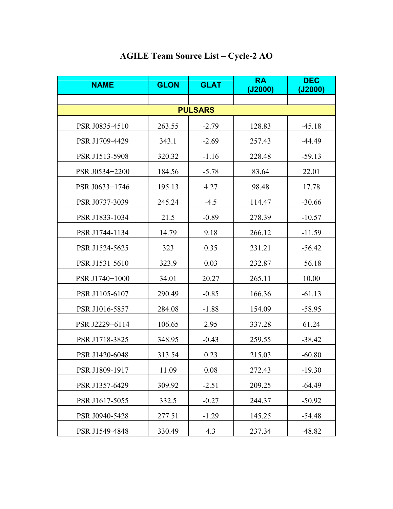| <b>NAME</b>    | <b>GLON</b> | <b>GLAT</b> | <b>RA</b><br>(J2000) | <b>DEC</b><br>(J2000) |  |  |
|----------------|-------------|-------------|----------------------|-----------------------|--|--|
|                |             |             |                      |                       |  |  |
| <b>PULSARS</b> |             |             |                      |                       |  |  |
| PSR J0835-4510 | 263.55      | $-2.79$     | 128.83               | $-45.18$              |  |  |
| PSR J1709-4429 | 343.1       | $-2.69$     | 257.43               | $-44.49$              |  |  |
| PSR J1513-5908 | 320.32      | $-1.16$     | 228.48               | -59.13                |  |  |
| PSR J0534+2200 | 184.56      | $-5.78$     | 83.64                | 22.01                 |  |  |
| PSR J0633+1746 | 195.13      | 4.27        | 98.48                | 17.78                 |  |  |
| PSR J0737-3039 | 245.24      | $-4.5$      | 114.47               | $-30.66$              |  |  |
| PSR J1833-1034 | 21.5        | $-0.89$     | 278.39               | $-10.57$              |  |  |
| PSR J1744-1134 | 14.79       | 9.18        | 266.12               | $-11.59$              |  |  |
| PSR J1524-5625 | 323         | 0.35        | 231.21               | $-56.42$              |  |  |
| PSR J1531-5610 | 323.9       | 0.03        | 232.87               | $-56.18$              |  |  |
| PSR J1740+1000 | 34.01       | 20.27       | 265.11               | 10.00                 |  |  |
| PSR J1105-6107 | 290.49      | $-0.85$     | 166.36               | $-61.13$              |  |  |
| PSR J1016-5857 | 284.08      | $-1.88$     | 154.09               | $-58.95$              |  |  |
| PSR J2229+6114 | 106.65      | 2.95        | 337.28               | 61.24                 |  |  |
| PSR J1718-3825 | 348.95      | $-0.43$     | 259.55               | $-38.42$              |  |  |
| PSR J1420-6048 | 313.54      | 0.23        | 215.03               | $-60.80$              |  |  |
| PSR J1809-1917 | 11.09       | 0.08        | 272.43               | $-19.30$              |  |  |
| PSR J1357-6429 | 309.92      | $-2.51$     | 209.25               | $-64.49$              |  |  |
| PSR J1617-5055 | 332.5       | $-0.27$     | 244.37               | $-50.92$              |  |  |
| PSR J0940-5428 | 277.51      | $-1.29$     | 145.25               | $-54.48$              |  |  |
| PSR J1549-4848 | 330.49      | 4.3         | 237.34               | $-48.82$              |  |  |

## **AGILE Team Source List – Cycle-2 AO**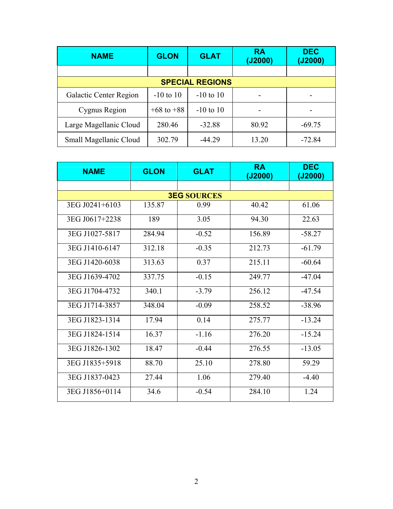| <b>NAME</b>            | <b>GLON</b>    | <b>GLAT</b>   | <b>RA</b><br>(J2000) | <b>DEC</b><br>(J2000) |  |
|------------------------|----------------|---------------|----------------------|-----------------------|--|
|                        |                |               |                      |                       |  |
| <b>SPECIAL REGIONS</b> |                |               |                      |                       |  |
| Galactic Center Region | $-10$ to $10$  | $-10$ to $10$ |                      |                       |  |
| Cygnus Region          | $+68$ to $+88$ | $-10$ to $10$ |                      |                       |  |
| Large Magellanic Cloud | 280.46         | $-32.88$      | 80.92                | $-69.75$              |  |
| Small Magellanic Cloud | 302.79         | $-44.29$      | 13.20                | $-72.84$              |  |

| <b>NAME</b>    | <b>GLON</b> | <b>GLAT</b>        | <b>RA</b><br>(J2000) | <b>DEC</b><br>(J2000) |
|----------------|-------------|--------------------|----------------------|-----------------------|
|                |             |                    |                      |                       |
|                |             | <b>3EG SOURCES</b> |                      |                       |
| 3EG J0241+6103 | 135.87      | 0.99               | 40.42                | 61.06                 |
| 3EG J0617+2238 | 189         | 3.05               | 94.30                | 22.63                 |
| 3EG J1027-5817 | 284.94      | $-0.52$            | 156.89               | $-58.27$              |
| 3EG J1410-6147 | 312.18      | $-0.35$            | 212.73               | $-61.79$              |
| 3EG J1420-6038 | 313.63      | 0.37               | 215.11               | $-60.64$              |
| 3EG J1639-4702 | 337.75      | $-0.15$            | 249.77               | $-47.04$              |
| 3EG J1704-4732 | 340.1       | $-3.79$            | 256.12               | $-47.54$              |
| 3EG J1714-3857 | 348.04      | $-0.09$            | 258.52               | $-38.96$              |
| 3EG J1823-1314 | 17.94       | 0.14               | 275.77               | $-13.24$              |
| 3EG J1824-1514 | 16.37       | $-1.16$            | 276.20               | $-15.24$              |
| 3EG J1826-1302 | 18.47       | $-0.44$            | 276.55               | $-13.05$              |
| 3EG J1835+5918 | 88.70       | 25.10              | 278.80               | 59.29                 |
| 3EG J1837-0423 | 27.44       | 1.06               | 279.40               | $-4.40$               |
| 3EG J1856+0114 | 34.6        | $-0.54$            | 284.10               | 1.24                  |